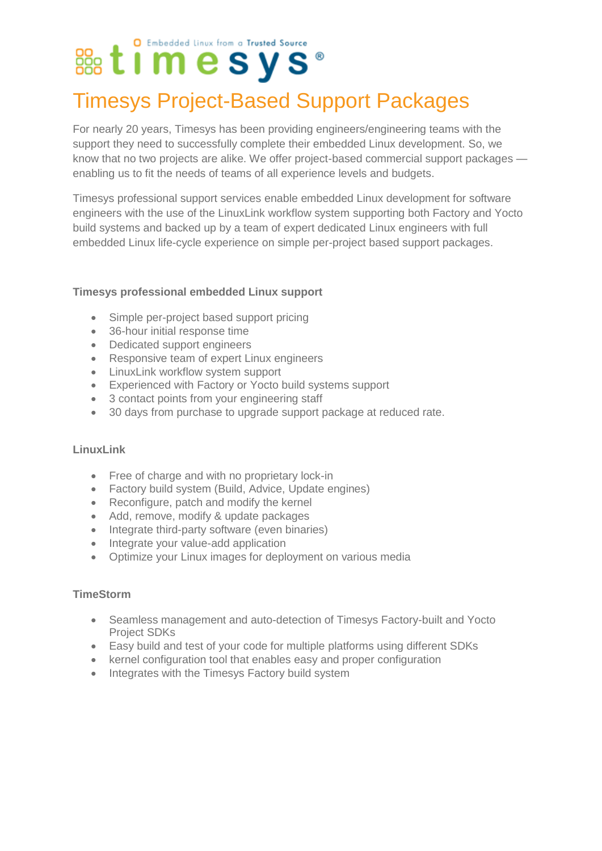### O Embedded Linux from a Trusted Source

## Timesys Project-Based Support Packages

For nearly 20 years, Timesys has been providing engineers/engineering teams with the support they need to successfully complete their embedded Linux development. So, we know that no two projects are alike. We offer project-based commercial support packages enabling us to fit the needs of teams of all experience levels and budgets.

Timesys professional support services enable embedded Linux development for software engineers with the use of the LinuxLink workflow system supporting both Factory and Yocto build systems and backed up by a team of expert dedicated Linux engineers with full embedded Linux life-cycle experience on simple per-project based support packages.

#### **Timesys professional embedded Linux support**

- Simple per-project based support pricing
- 36-hour initial response time
- Dedicated support engineers
- Responsive team of expert Linux engineers
- LinuxLink workflow system support
- Experienced with Factory or Yocto build systems support
- 3 contact points from your engineering staff
- 30 days from purchase to upgrade support package at reduced rate.

#### **LinuxLink**

- Free of charge and with no proprietary lock-in
- Factory build system (Build, Advice, Update engines)
- Reconfigure, patch and modify the kernel
- Add, remove, modify & update packages
- Integrate third-party software (even binaries)
- Integrate your value-add application
- Optimize your Linux images for deployment on various media

#### **TimeStorm**

- Seamless management and auto-detection of Timesys Factory-built and Yocto Project SDKs
- Easy build and test of your code for multiple platforms using different SDKs
- kernel configuration tool that enables easy and proper configuration
- Integrates with the Timesys Factory build system